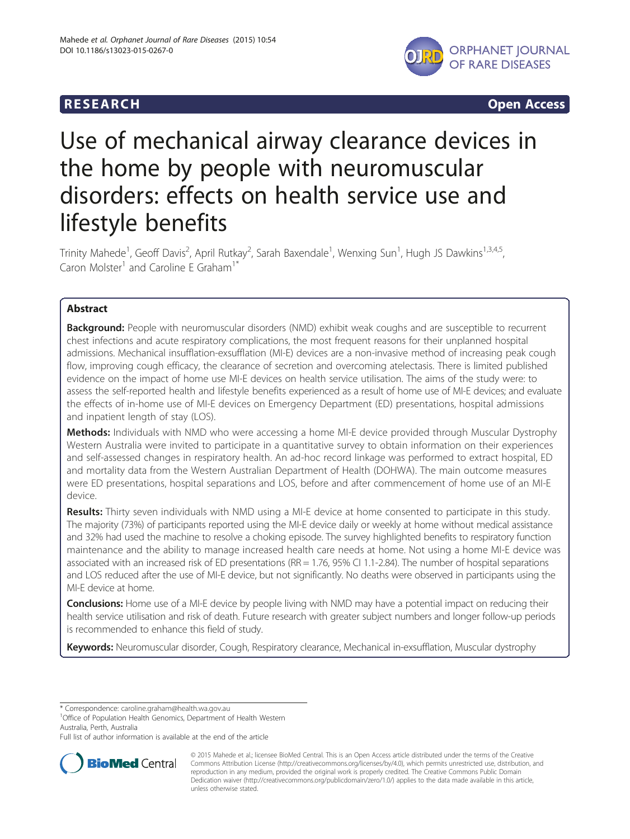

**RESEARCH CHINESEARCH CHINESEARCH** 

# Use of mechanical airway clearance devices in the home by people with neuromuscular disorders: effects on health service use and lifestyle benefits

Trinity Mahede<sup>1</sup>, Geoff Davis<sup>2</sup>, April Rutkay<sup>2</sup>, Sarah Baxendale<sup>1</sup>, Wenxing Sun<sup>1</sup>, Hugh JS Dawkins<sup>1,3,4,5</sup>, Caron Molster<sup>1</sup> and Caroline E Graham<sup>1</sup>

# Abstract

**Background:** People with neuromuscular disorders (NMD) exhibit weak coughs and are susceptible to recurrent chest infections and acute respiratory complications, the most frequent reasons for their unplanned hospital admissions. Mechanical insufflation-exsufflation (MI-E) devices are a non-invasive method of increasing peak cough flow, improving cough efficacy, the clearance of secretion and overcoming atelectasis. There is limited published evidence on the impact of home use MI-E devices on health service utilisation. The aims of the study were: to assess the self-reported health and lifestyle benefits experienced as a result of home use of MI-E devices; and evaluate the effects of in-home use of MI-E devices on Emergency Department (ED) presentations, hospital admissions and inpatient length of stay (LOS).

Methods: Individuals with NMD who were accessing a home MI-E device provided through Muscular Dystrophy Western Australia were invited to participate in a quantitative survey to obtain information on their experiences and self-assessed changes in respiratory health. An ad-hoc record linkage was performed to extract hospital, ED and mortality data from the Western Australian Department of Health (DOHWA). The main outcome measures were ED presentations, hospital separations and LOS, before and after commencement of home use of an MI-E device.

Results: Thirty seven individuals with NMD using a MI-E device at home consented to participate in this study. The majority (73%) of participants reported using the MI-E device daily or weekly at home without medical assistance and 32% had used the machine to resolve a choking episode. The survey highlighted benefits to respiratory function maintenance and the ability to manage increased health care needs at home. Not using a home MI-E device was associated with an increased risk of ED presentations (RR = 1.76, 95% CI 1.1-2.84). The number of hospital separations and LOS reduced after the use of MI-E device, but not significantly. No deaths were observed in participants using the MI-E device at home.

**Conclusions:** Home use of a MI-E device by people living with NMD may have a potential impact on reducing their health service utilisation and risk of death. Future research with greater subject numbers and longer follow-up periods is recommended to enhance this field of study.

Keywords: Neuromuscular disorder, Cough, Respiratory clearance, Mechanical in-exsufflation, Muscular dystrophy

\* Correspondence: [caroline.graham@health.wa.gov.au](mailto:caroline.graham@health.wa.gov.au) <sup>1</sup>

<sup>1</sup>Office of Population Health Genomics, Department of Health Western Australia, Perth, Australia

Full list of author information is available at the end of the article



<sup>© 2015</sup> Mahede et al.; licensee BioMed Central. This is an Open Access article distributed under the terms of the Creative Commons Attribution License [\(http://creativecommons.org/licenses/by/4.0\)](http://creativecommons.org/licenses/by/4.0), which permits unrestricted use, distribution, and reproduction in any medium, provided the original work is properly credited. The Creative Commons Public Domain Dedication waiver [\(http://creativecommons.org/publicdomain/zero/1.0/](http://creativecommons.org/publicdomain/zero/1.0/)) applies to the data made available in this article, unless otherwise stated.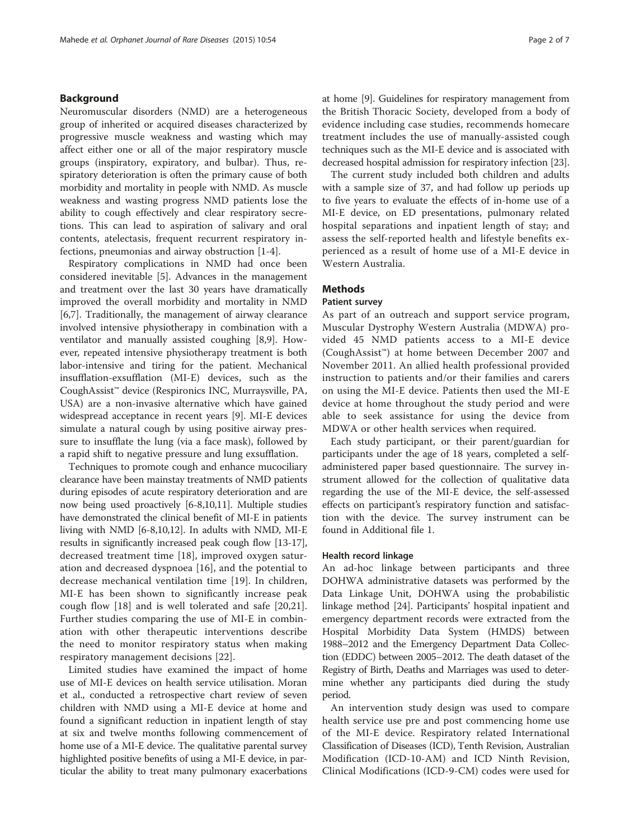# Background

Neuromuscular disorders (NMD) are a heterogeneous group of inherited or acquired diseases characterized by progressive muscle weakness and wasting which may affect either one or all of the major respiratory muscle groups (inspiratory, expiratory, and bulbar). Thus, respiratory deterioration is often the primary cause of both morbidity and mortality in people with NMD. As muscle weakness and wasting progress NMD patients lose the ability to cough effectively and clear respiratory secretions. This can lead to aspiration of salivary and oral contents, atelectasis, frequent recurrent respiratory infections, pneumonias and airway obstruction [[1-](#page-5-0)[4](#page-6-0)].

Respiratory complications in NMD had once been considered inevitable [\[5](#page-6-0)]. Advances in the management and treatment over the last 30 years have dramatically improved the overall morbidity and mortality in NMD [[6,7\]](#page-6-0). Traditionally, the management of airway clearance involved intensive physiotherapy in combination with a ventilator and manually assisted coughing [\[8,9](#page-6-0)]. However, repeated intensive physiotherapy treatment is both labor-intensive and tiring for the patient. Mechanical insufflation-exsufflation (MI-E) devices, such as the CoughAssist™ device (Respironics INC, Murraysville, PA, USA) are a non-invasive alternative which have gained widespread acceptance in recent years [\[9](#page-6-0)]. MI-E devices simulate a natural cough by using positive airway pressure to insufflate the lung (via a face mask), followed by a rapid shift to negative pressure and lung exsufflation.

Techniques to promote cough and enhance mucociliary clearance have been mainstay treatments of NMD patients during episodes of acute respiratory deterioration and are now being used proactively [\[6](#page-6-0)-[8,10,11\]](#page-6-0). Multiple studies have demonstrated the clinical benefit of MI-E in patients living with NMD [[6-8,10](#page-6-0),[12](#page-6-0)]. In adults with NMD, MI-E results in significantly increased peak cough flow [[13](#page-6-0)-[17](#page-6-0)], decreased treatment time [\[18](#page-6-0)], improved oxygen saturation and decreased dyspnoea [[16\]](#page-6-0), and the potential to decrease mechanical ventilation time [[19\]](#page-6-0). In children, MI-E has been shown to significantly increase peak cough flow [\[18](#page-6-0)] and is well tolerated and safe [[20,21](#page-6-0)]. Further studies comparing the use of MI-E in combination with other therapeutic interventions describe the need to monitor respiratory status when making respiratory management decisions [[22\]](#page-6-0).

Limited studies have examined the impact of home use of MI-E devices on health service utilisation. Moran et al., conducted a retrospective chart review of seven children with NMD using a MI-E device at home and found a significant reduction in inpatient length of stay at six and twelve months following commencement of home use of a MI-E device. The qualitative parental survey highlighted positive benefits of using a MI-E device, in particular the ability to treat many pulmonary exacerbations

at home [[9](#page-6-0)]. Guidelines for respiratory management from the British Thoracic Society, developed from a body of evidence including case studies, recommends homecare treatment includes the use of manually-assisted cough techniques such as the MI-E device and is associated with decreased hospital admission for respiratory infection [[23](#page-6-0)].

The current study included both children and adults with a sample size of 37, and had follow up periods up to five years to evaluate the effects of in-home use of a MI-E device, on ED presentations, pulmonary related hospital separations and inpatient length of stay; and assess the self-reported health and lifestyle benefits experienced as a result of home use of a MI-E device in Western Australia.

# **Methods**

# Patient survey

As part of an outreach and support service program, Muscular Dystrophy Western Australia (MDWA) provided 45 NMD patients access to a MI-E device (CoughAssist™) at home between December 2007 and November 2011. An allied health professional provided instruction to patients and/or their families and carers on using the MI-E device. Patients then used the MI-E device at home throughout the study period and were able to seek assistance for using the device from MDWA or other health services when required.

Each study participant, or their parent/guardian for participants under the age of 18 years, completed a selfadministered paper based questionnaire. The survey instrument allowed for the collection of qualitative data regarding the use of the MI-E device, the self-assessed effects on participant's respiratory function and satisfaction with the device. The survey instrument can be found in Additional file [1.](#page-5-0)

## Health record linkage

An ad-hoc linkage between participants and three DOHWA administrative datasets was performed by the Data Linkage Unit, DOHWA using the probabilistic linkage method [\[24](#page-6-0)]. Participants' hospital inpatient and emergency department records were extracted from the Hospital Morbidity Data System (HMDS) between 1988–2012 and the Emergency Department Data Collection (EDDC) between 2005–2012. The death dataset of the Registry of Birth, Deaths and Marriages was used to determine whether any participants died during the study period.

An intervention study design was used to compare health service use pre and post commencing home use of the MI-E device. Respiratory related International Classification of Diseases (ICD), Tenth Revision, Australian Modification (ICD-10-AM) and ICD Ninth Revision, Clinical Modifications (ICD-9-CM) codes were used for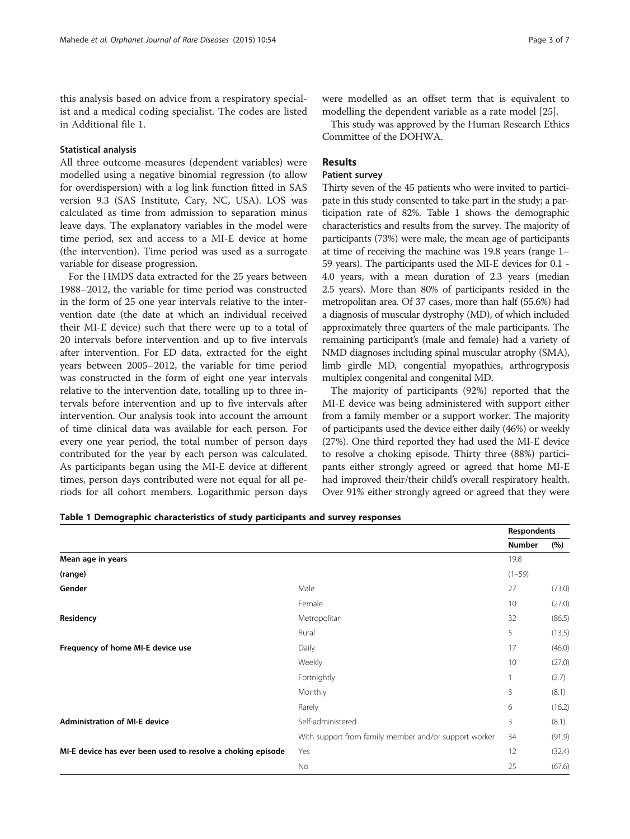this analysis based on advice from a respiratory specialist and a medical coding specialist. The codes are listed in Additional file [1.](#page-5-0)

# Statistical analysis

All three outcome measures (dependent variables) were modelled using a negative binomial regression (to allow for overdispersion) with a log link function fitted in SAS version 9.3 (SAS Institute, Cary, NC, USA). LOS was calculated as time from admission to separation minus leave days. The explanatory variables in the model were time period, sex and access to a MI-E device at home (the intervention). Time period was used as a surrogate variable for disease progression.

For the HMDS data extracted for the 25 years between 1988–2012, the variable for time period was constructed in the form of 25 one year intervals relative to the intervention date (the date at which an individual received their MI-E device) such that there were up to a total of 20 intervals before intervention and up to five intervals after intervention. For ED data, extracted for the eight years between 2005–2012, the variable for time period was constructed in the form of eight one year intervals relative to the intervention date, totalling up to three intervals before intervention and up to five intervals after intervention. Our analysis took into account the amount of time clinical data was available for each person. For every one year period, the total number of person days contributed for the year by each person was calculated. As participants began using the MI-E device at different times, person days contributed were not equal for all periods for all cohort members. Logarithmic person days were modelled as an offset term that is equivalent to modelling the dependent variable as a rate model [\[25](#page-6-0)].

This study was approved by the Human Research Ethics Committee of the DOHWA.

# Results

# Patient survey

Thirty seven of the 45 patients who were invited to participate in this study consented to take part in the study; a participation rate of 82%. Table 1 shows the demographic characteristics and results from the survey. The majority of participants (73%) were male, the mean age of participants at time of receiving the machine was 19.8 years (range 1– 59 years). The participants used the MI-E devices for 0.1 - 4.0 years, with a mean duration of 2.3 years (median 2.5 years). More than 80% of participants resided in the metropolitan area. Of 37 cases, more than half (55.6%) had a diagnosis of muscular dystrophy (MD), of which included approximately three quarters of the male participants. The remaining participant's (male and female) had a variety of NMD diagnoses including spinal muscular atrophy (SMA), limb girdle MD, congential myopathies, arthrogryposis multiplex congenital and congenital MD.

The majority of participants (92%) reported that the MI-E device was being administered with support either from a family member or a support worker. The majority of participants used the device either daily (46%) or weekly (27%). One third reported they had used the MI-E device to resolve a choking episode. Thirty three (88%) participants either strongly agreed or agreed that home MI-E had improved their/their child's overall respiratory health. Over 91% either strongly agreed or agreed that they were

|                                                             |                                                       | <b>Respondents</b> |        |
|-------------------------------------------------------------|-------------------------------------------------------|--------------------|--------|
|                                                             |                                                       | Number             | (%)    |
| Mean age in years                                           |                                                       | 19.8               |        |
| (range)                                                     |                                                       | $(1 - 59)$         |        |
| Gender                                                      | Male                                                  | 27                 | (73.0) |
|                                                             | Female                                                | 10                 | (27.0) |
| Residency                                                   | Metropolitan                                          | 32                 | (86.5) |
|                                                             | Rural                                                 | 5                  | (13.5) |
| Frequency of home MI-E device use                           | Daily                                                 | 17                 | (46.0) |
|                                                             | Weekly                                                | 10                 | (27.0) |
|                                                             | Fortnightly                                           | 1                  | (2.7)  |
|                                                             | Monthly                                               | 3                  | (8.1)  |
|                                                             | Rarely                                                | 6                  | (16.2) |
| <b>Administration of MI-E device</b>                        | Self-administered                                     | 3                  | (8.1)  |
|                                                             | With support from family member and/or support worker | 34                 | (91.9) |
| MI-E device has ever been used to resolve a choking episode | Yes                                                   | 12                 | (32.4) |
|                                                             | No                                                    | 25                 | (67.6) |

Table 1 Demographic characteristics of study participants and survey responses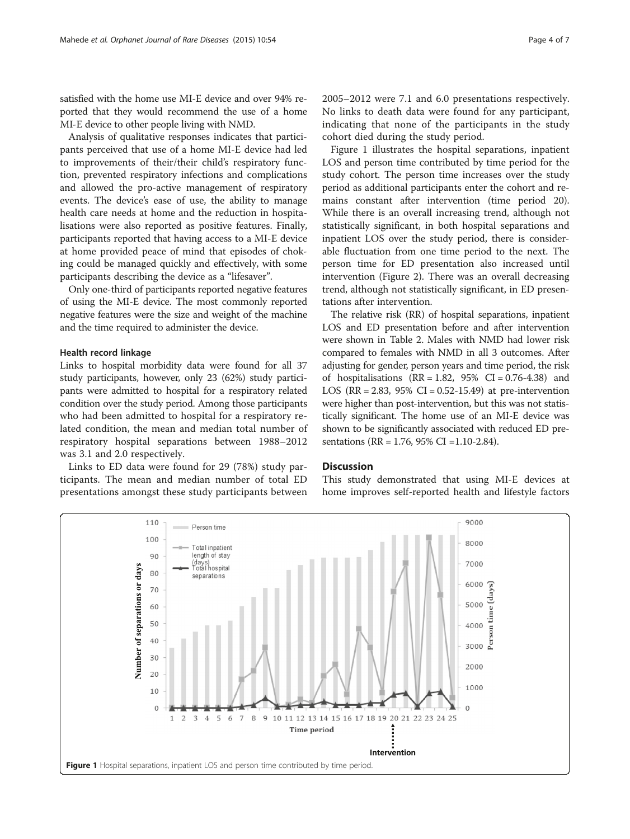satisfied with the home use MI-E device and over 94% reported that they would recommend the use of a home MI-E device to other people living with NMD.

Analysis of qualitative responses indicates that participants perceived that use of a home MI-E device had led to improvements of their/their child's respiratory function, prevented respiratory infections and complications and allowed the pro-active management of respiratory events. The device's ease of use, the ability to manage health care needs at home and the reduction in hospitalisations were also reported as positive features. Finally, participants reported that having access to a MI-E device at home provided peace of mind that episodes of choking could be managed quickly and effectively, with some participants describing the device as a "lifesaver".

Only one-third of participants reported negative features of using the MI-E device. The most commonly reported negative features were the size and weight of the machine and the time required to administer the device.

### Health record linkage

Links to hospital morbidity data were found for all 37 study participants, however, only 23 (62%) study participants were admitted to hospital for a respiratory related condition over the study period. Among those participants who had been admitted to hospital for a respiratory related condition, the mean and median total number of respiratory hospital separations between 1988–2012 was 3.1 and 2.0 respectively.

Links to ED data were found for 29 (78%) study participants. The mean and median number of total ED presentations amongst these study participants between 2005–2012 were 7.1 and 6.0 presentations respectively. No links to death data were found for any participant, indicating that none of the participants in the study cohort died during the study period.

Figure 1 illustrates the hospital separations, inpatient LOS and person time contributed by time period for the study cohort. The person time increases over the study period as additional participants enter the cohort and remains constant after intervention (time period 20). While there is an overall increasing trend, although not statistically significant, in both hospital separations and inpatient LOS over the study period, there is considerable fluctuation from one time period to the next. The person time for ED presentation also increased until intervention (Figure [2\)](#page-4-0). There was an overall decreasing trend, although not statistically significant, in ED presentations after intervention.

The relative risk (RR) of hospital separations, inpatient LOS and ED presentation before and after intervention were shown in Table [2](#page-4-0). Males with NMD had lower risk compared to females with NMD in all 3 outcomes. After adjusting for gender, person years and time period, the risk of hospitalisations  $(RR = 1.82, 95\% \text{ CI} = 0.76-4.38)$  and LOS ( $RR = 2.83$ ,  $95\%$  CI = 0.52-15.49) at pre-intervention were higher than post-intervention, but this was not statistically significant. The home use of an MI-E device was shown to be significantly associated with reduced ED presentations (RR = 1.76, 95% CI =1.10-2.84).

### **Discussion**

This study demonstrated that using MI-E devices at home improves self-reported health and lifestyle factors

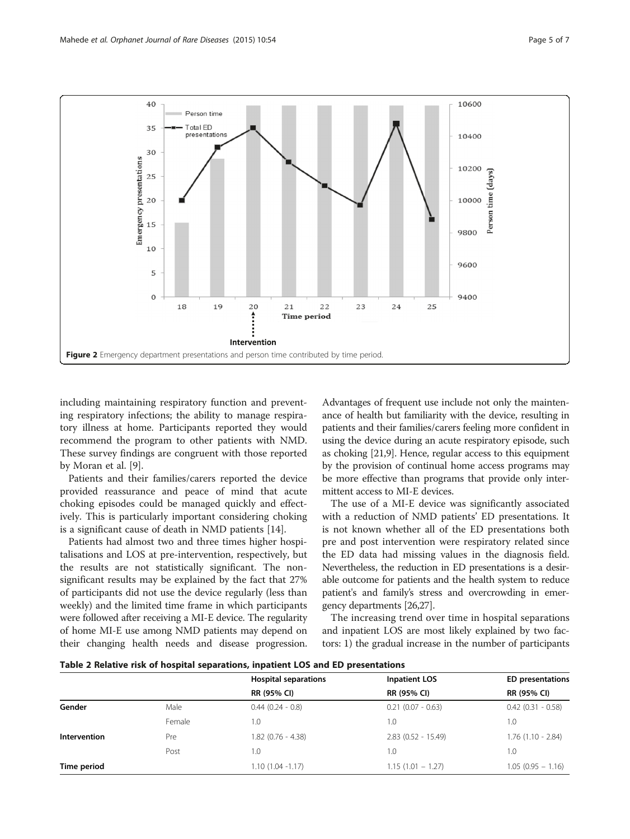<span id="page-4-0"></span>

including maintaining respiratory function and preventing respiratory infections; the ability to manage respiratory illness at home. Participants reported they would recommend the program to other patients with NMD. These survey findings are congruent with those reported by Moran et al. [[9](#page-6-0)].

Patients and their families/carers reported the device provided reassurance and peace of mind that acute choking episodes could be managed quickly and effectively. This is particularly important considering choking is a significant cause of death in NMD patients [[14](#page-6-0)].

Patients had almost two and three times higher hospitalisations and LOS at pre-intervention, respectively, but the results are not statistically significant. The nonsignificant results may be explained by the fact that 27% of participants did not use the device regularly (less than weekly) and the limited time frame in which participants were followed after receiving a MI-E device. The regularity of home MI-E use among NMD patients may depend on their changing health needs and disease progression.

Advantages of frequent use include not only the maintenance of health but familiarity with the device, resulting in patients and their families/carers feeling more confident in using the device during an acute respiratory episode, such as choking [\[21,9\]](#page-6-0). Hence, regular access to this equipment by the provision of continual home access programs may be more effective than programs that provide only intermittent access to MI-E devices.

The use of a MI-E device was significantly associated with a reduction of NMD patients' ED presentations. It is not known whether all of the ED presentations both pre and post intervention were respiratory related since the ED data had missing values in the diagnosis field. Nevertheless, the reduction in ED presentations is a desirable outcome for patients and the health system to reduce patient's and family's stress and overcrowding in emergency departments [\[26,27](#page-6-0)].

The increasing trend over time in hospital separations and inpatient LOS are most likely explained by two factors: 1) the gradual increase in the number of participants

|        |                       |                             | <b>ED</b> presentations |  |
|--------|-----------------------|-----------------------------|-------------------------|--|
|        | RR (95% CI)           | RR (95% CI)                 | RR (95% CI)             |  |
| Male   | $0.44$ $(0.24 - 0.8)$ | $0.21$ (0.07 - 0.63)        | $0.42$ (0.31 - 0.58)    |  |
| Female | 1.0                   | 1.0                         | 1.0                     |  |
| Pre    | $1.82(0.76 - 4.38)$   | $2.83$ (0.52 - 15.49)       | $1.76(1.10 - 2.84)$     |  |
| Post   | 1.0                   | 1.0                         | 1.0                     |  |
|        | $1.10(1.04 - 1.17)$   | $1.15(1.01 - 1.27)$         | $1.05(0.95 - 1.16)$     |  |
|        |                       | <b>Hospital separations</b> | <b>Inpatient LOS</b>    |  |

Table 2 Relative risk of hospital separations, inpatient LOS and ED presentations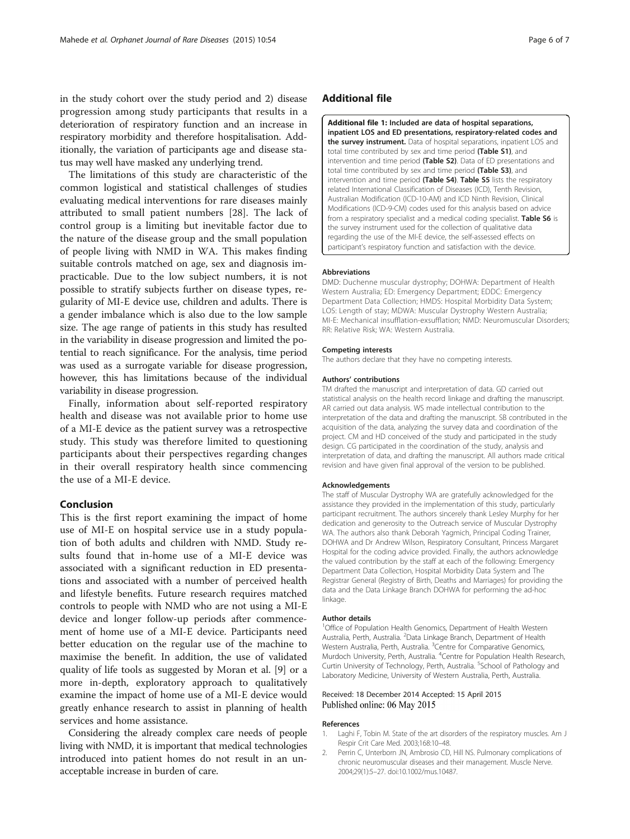<span id="page-5-0"></span>in the study cohort over the study period and 2) disease progression among study participants that results in a deterioration of respiratory function and an increase in respiratory morbidity and therefore hospitalisation. Additionally, the variation of participants age and disease status may well have masked any underlying trend.

The limitations of this study are characteristic of the common logistical and statistical challenges of studies evaluating medical interventions for rare diseases mainly attributed to small patient numbers [[28](#page-6-0)]. The lack of control group is a limiting but inevitable factor due to the nature of the disease group and the small population of people living with NMD in WA. This makes finding suitable controls matched on age, sex and diagnosis impracticable. Due to the low subject numbers, it is not possible to stratify subjects further on disease types, regularity of MI-E device use, children and adults. There is a gender imbalance which is also due to the low sample size. The age range of patients in this study has resulted in the variability in disease progression and limited the potential to reach significance. For the analysis, time period was used as a surrogate variable for disease progression, however, this has limitations because of the individual variability in disease progression.

Finally, information about self-reported respiratory health and disease was not available prior to home use of a MI-E device as the patient survey was a retrospective study. This study was therefore limited to questioning participants about their perspectives regarding changes in their overall respiratory health since commencing the use of a MI-E device.

# Conclusion

This is the first report examining the impact of home use of MI-E on hospital service use in a study population of both adults and children with NMD. Study results found that in-home use of a MI-E device was associated with a significant reduction in ED presentations and associated with a number of perceived health and lifestyle benefits. Future research requires matched controls to people with NMD who are not using a MI-E device and longer follow-up periods after commencement of home use of a MI-E device. Participants need better education on the regular use of the machine to maximise the benefit. In addition, the use of validated quality of life tools as suggested by Moran et al. [[9](#page-6-0)] or a more in-depth, exploratory approach to qualitatively examine the impact of home use of a MI-E device would greatly enhance research to assist in planning of health services and home assistance.

Considering the already complex care needs of people living with NMD, it is important that medical technologies introduced into patient homes do not result in an unacceptable increase in burden of care.

# Additional file

[Additional file 1:](http://www.ojrd.com/content/supplementary/s13023-015-0267-0-s1.docx) Included are data of hospital separations, inpatient LOS and ED presentations, respiratory-related codes and the survey instrument. Data of hospital separations, inpatient LOS and total time contributed by sex and time period (Table S1), and intervention and time period (Table S2). Data of ED presentations and total time contributed by sex and time period (Table S3), and intervention and time period (Table S4). Table S5 lists the respiratory related International Classification of Diseases (ICD), Tenth Revision, Australian Modification (ICD-10-AM) and ICD Ninth Revision, Clinical Modifications (ICD-9-CM) codes used for this analysis based on advice from a respiratory specialist and a medical coding specialist. Table S6 is the survey instrument used for the collection of qualitative data regarding the use of the MI-E device, the self-assessed effects on participant's respiratory function and satisfaction with the device.

#### **Abbreviations**

DMD: Duchenne muscular dystrophy; DOHWA: Department of Health Western Australia; ED: Emergency Department; EDDC: Emergency Department Data Collection; HMDS: Hospital Morbidity Data System; LOS: Length of stay; MDWA: Muscular Dystrophy Western Australia; MI-E: Mechanical insufflation-exsufflation; NMD: Neuromuscular Disorders; RR: Relative Risk; WA: Western Australia.

#### Competing interests

The authors declare that they have no competing interests.

#### Authors' contributions

TM drafted the manuscript and interpretation of data. GD carried out statistical analysis on the health record linkage and drafting the manuscript. AR carried out data analysis. WS made intellectual contribution to the interpretation of the data and drafting the manuscript. SB contributed in the acquisition of the data, analyzing the survey data and coordination of the project. CM and HD conceived of the study and participated in the study design. CG participated in the coordination of the study, analysis and interpretation of data, and drafting the manuscript. All authors made critical revision and have given final approval of the version to be published.

#### Acknowledgements

The staff of Muscular Dystrophy WA are gratefully acknowledged for the assistance they provided in the implementation of this study, particularly participant recruitment. The authors sincerely thank Lesley Murphy for her dedication and generosity to the Outreach service of Muscular Dystrophy WA. The authors also thank Deborah Yagmich, Principal Coding Trainer, DOHWA and Dr Andrew Wilson, Respiratory Consultant, Princess Margaret Hospital for the coding advice provided. Finally, the authors acknowledge the valued contribution by the staff at each of the following: Emergency Department Data Collection, Hospital Morbidity Data System and The Registrar General (Registry of Birth, Deaths and Marriages) for providing the data and the Data Linkage Branch DOHWA for performing the ad-hoc linkage.

#### Author details

<sup>1</sup>Office of Population Health Genomics, Department of Health Western Australia, Perth, Australia. <sup>2</sup>Data Linkage Branch, Department of Health Western Australia, Perth, Australia. <sup>3</sup>Centre for Comparative Genomics, Murdoch University, Perth, Australia. <sup>4</sup>Centre for Population Health Research Curtin University of Technology, Perth, Australia. <sup>5</sup>School of Pathology and Laboratory Medicine, University of Western Australia, Perth, Australia.

#### Received: 18 December 2014 Accepted: 15 April 2015 Published online: 06 May 2015

#### References

- 1. Laghi F, Tobin M. State of the art disorders of the respiratory muscles. Am J Respir Crit Care Med. 2003;168:10–48.
- 2. Perrin C, Unterborn JN, Ambrosio CD, Hill NS. Pulmonary complications of chronic neuromuscular diseases and their management. Muscle Nerve. 2004;29(1):5–27. doi:10.1002/mus.10487.